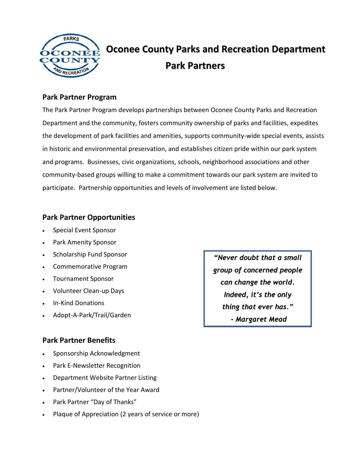

### **Park Partner Program**

The Park Partner Program develops partnerships between Oconee County Parks and Recreation Department and the community, fosters community ownership of parks and facilities, expedites the development of park facilities and amenities, supports community-wide special events, assists in historic and environmental preservation, and establishes citizen pride within our park system and programs. Businesses, civic organizations, schools, neighborhood associations and other community-based groups willing to make a commitment towards our park system are invited to participate. Partnership opportunities and levels of involvement are listed below.

### **Park Partner Opportunities**

- Special Event Sponsor
- Park Amenity Sponsor
- Scholarship Fund Sponsor
- Commemorative Program
- Tournament Sponsor
- Volunteer Clean-up Days
- In-Kind Donations
- Adopt-A-Park/Trail/Garden

#### **Park Partner Benefits**

- Sponsorship Acknowledgment
- Park E-Newsletter Recognition
- Department Website Partner Listing
- Partner/Volunteer of the Year Award
- Park Partner "Day of Thanks"
- Plaque of Appreciation (2 years of service or more)

*"Never doubt that a small group of concerned people can change the world. Indeed, it's the only thing that ever has." - Margaret Mead*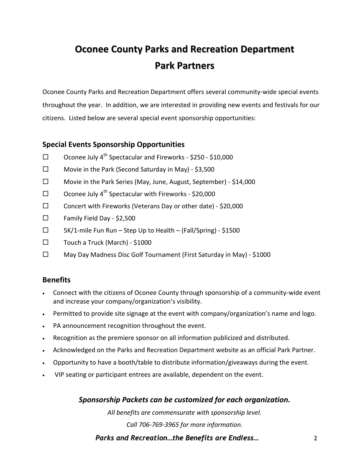Oconee County Parks and Recreation Department offers several community-wide special events throughout the year. In addition, we are interested in providing new events and festivals for our citizens. Listed below are several special event sponsorship opportunities:

### **Special Events Sponsorship Opportunities**

- $\square$  Oconee July 4<sup>th</sup> Spectacular and Fireworks \$250 \$10,000
- $\Box$  Movie in the Park (Second Saturday in May) \$3,500
- Movie in the Park Series (May, June, August, September) \$14,000
- $\square$  Oconee July 4<sup>th</sup> Spectacular with Fireworks \$20,000
- $\square$  Concert with Fireworks (Veterans Day or other date) \$20,000
- $\Box$  Family Field Day \$2,500
- $\Box$  5K/1-mile Fun Run Step Up to Health (Fall/Spring) \$1500
- $\square$  Touch a Truck (March) \$1000
- $\square$  May Day Madness Disc Golf Tournament (First Saturday in May) \$1000

#### **Benefits**

- Connect with the citizens of Oconee County through sponsorship of a community-wide event and increase your company/organization's visibility.
- Permitted to provide site signage at the event with company/organization's name and logo.
- PA announcement recognition throughout the event.
- Recognition as the premiere sponsor on all information publicized and distributed.
- Acknowledged on the Parks and Recreation Department website as an official Park Partner.
- Opportunity to have a booth/table to distribute information/giveaways during the event.
- VIP seating or participant entrees are available, dependent on the event.

*Sponsorship Packets can be customized for each organization.*

*All benefits are commensurate with sponsorship level.* 

*Call 706-769-3965 for more information.*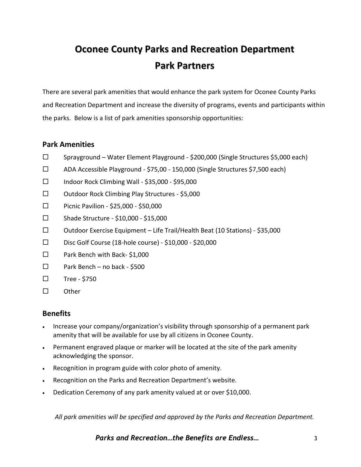There are several park amenities that would enhance the park system for Oconee County Parks and Recreation Department and increase the diversity of programs, events and participants within the parks. Below is a list of park amenities sponsorship opportunities:

#### **Park Amenities**

- $\square$  Sprayground Water Element Playground \$200,000 (Single Structures \$5,000 each)
- ADA Accessible Playground \$75,00 150,000 (Single Structures \$7,500 each)
- $\Box$  Indoor Rock Climbing Wall \$35,000 \$95,000
- □ Outdoor Rock Climbing Play Structures \$5,000
- $\square$  Picnic Pavilion \$25,000 \$50,000
- $\square$  Shade Structure \$10,000 \$15,000
- $\square$  Outdoor Exercise Equipment Life Trail/Health Beat (10 Stations) \$35,000
- $\square$  Disc Golf Course (18-hole course) \$10,000 \$20,000
- □ Park Bench with Back-\$1,000
- $\Box$  Park Bench no back \$500
- $\square$  Tree \$750
- $\square$  Other

## **Benefits**

- Increase your company/organization's visibility through sponsorship of a permanent park amenity that will be available for use by all citizens in Oconee County.
- Permanent engraved plaque or marker will be located at the site of the park amenity acknowledging the sponsor.
- Recognition in program guide with color photo of amenity.
- Recognition on the Parks and Recreation Department's website.
- Dedication Ceremony of any park amenity valued at or over \$10,000.

*All park amenities will be specified and approved by the Parks and Recreation Department.*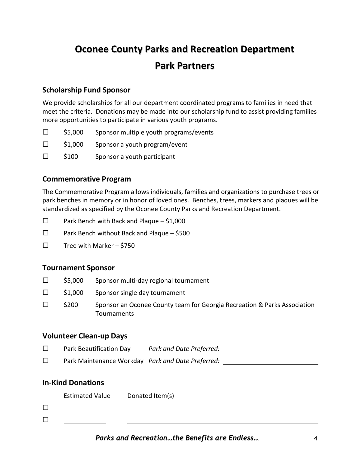### **Scholarship Fund Sponsor**

We provide scholarships for all our department coordinated programs to families in need that meet the criteria. Donations may be made into our scholarship fund to assist providing families more opportunities to participate in various youth programs.

- $\square$  \$5,000 Sponsor multiple youth programs/events
- $\Box$  \$1,000 Sponsor a youth program/event
- $\square$  \$100 Sponsor a youth participant

### **Commemorative Program**

The Commemorative Program allows individuals, families and organizations to purchase trees or park benches in memory or in honor of loved ones. Benches, trees, markers and plaques will be standardized as specified by the Oconee County Parks and Recreation Department.

- $\square$  Park Bench with Back and Plaque \$1,000
- $\Box$  Park Bench without Back and Plaque \$500
- $\square$  Tree with Marker \$750

## **Tournament Sponsor**

- $\square$  \$5,000 Sponsor multi-day regional tournament
- $\Box$  \$1,000 Sponsor single day tournament
- $\square$  \$200 Sponsor an Oconee County team for Georgia Recreation & Parks Association **Tournaments**

#### **Volunteer Clean-up Days**

- Park Beautification Day *Park and Date Preferred:*
- Park Maintenance Workday *Park and Date Preferred:*

#### **In-Kind Donations**

Estimated Value Donated Item(s)

 $\Box$  $\Box$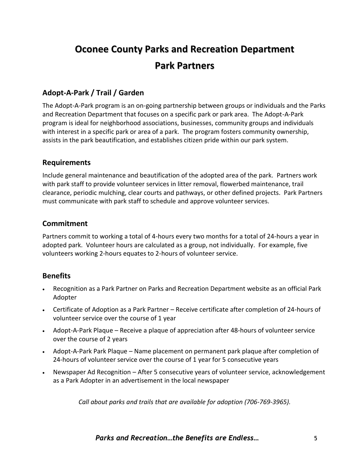## **Adopt-A-Park / Trail / Garden**

The Adopt-A-Park program is an on-going partnership between groups or individuals and the Parks and Recreation Department that focuses on a specific park or park area. The Adopt-A-Park program is ideal for neighborhood associations, businesses, community groups and individuals with interest in a specific park or area of a park. The program fosters community ownership, assists in the park beautification, and establishes citizen pride within our park system.

#### **Requirements**

Include general maintenance and beautification of the adopted area of the park. Partners work with park staff to provide volunteer services in litter removal, flowerbed maintenance, trail clearance, periodic mulching, clear courts and pathways, or other defined projects. Park Partners must communicate with park staff to schedule and approve volunteer services.

## **Commitment**

Partners commit to working a total of 4-hours every two months for a total of 24-hours a year in adopted park. Volunteer hours are calculated as a group, not individually. For example, five volunteers working 2-hours equates to 2-hours of volunteer service.

## **Benefits**

- Recognition as a Park Partner on Parks and Recreation Department website as an official Park Adopter
- Certificate of Adoption as a Park Partner Receive certificate after completion of 24-hours of volunteer service over the course of 1 year
- Adopt-A-Park Plaque Receive a plaque of appreciation after 48-hours of volunteer service over the course of 2 years
- Adopt-A-Park Park Plaque Name placement on permanent park plaque after completion of 24-hours of volunteer service over the course of 1 year for 5 consecutive years
- Newspaper Ad Recognition After 5 consecutive years of volunteer service, acknowledgement as a Park Adopter in an advertisement in the local newspaper

*Call about parks and trails that are available for adoption (706-769-3965).*